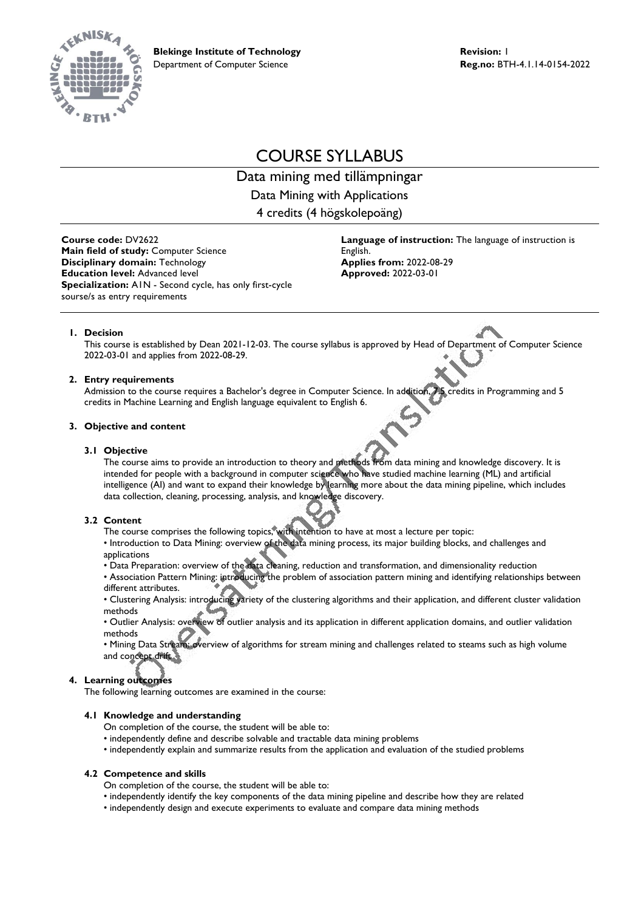

# COURSE SYLLABUS

Data mining med tillämpningar Data Mining with Applications 4 credits (4 högskolepoäng)

**Course code:** DV2622 **Main field of study:** Computer Science **Disciplinary domain:** Technology **Education level:** Advanced level **Specialization:** A1N - Second cycle, has only first-cycle sourse/s as entry requirements

**Language of instruction:** The language of instruction is English. **Applies from:** 2022-08-29 **Approved:** 2022-03-01

# **1. Decision**

This course is established by Dean 2021-12-03. The course syllabus is approved by Head of Department of Computer Science 2022-03-01 and applies from 2022-08-29.

# **2. Entry requirements**

Admission to the course requires a Bachelor's degree in Computer Science. In addition, 7.5 credits in Programming and 5 credits in Machine Learning and English language equivalent to English 6.

## **3. Objective and content**

## **3.1 Objective**

The course aims to provide an introduction to theory and methods from data mining and knowledge discovery. It is intended for people with a background in computer science who have studied machine learning (ML) and artificial intelligence (AI) and want to expand their knowledge by learning more about the data mining pipeline, which includes data collection, cleaning, processing, analysis, and knowledge discovery.

# **3.2 Content**

- The course comprises the following topics, with intention to have at most a lecture per topic:
- Introduction to Data Mining: overview of the data mining process, its major building blocks, and challenges and applications
- Data Preparation: overview of the data cleaning, reduction and transformation, and dimensionality reduction
- Association Pattern Mining: introducing the problem of association pattern mining and identifying relationships between different attributes.
- Clustering Analysis: introducing variety of the clustering algorithms and their application, and different cluster validation methods

• Outlier Analysis: overview of outlier analysis and its application in different application domains, and outlier validation methods

• Mining Data Stream: overview of algorithms for stream mining and challenges related to steams such as high volume and concept drift

# **4. Learning outcomes**

The following learning outcomes are examined in the course:

# **4.1 Knowledge and understanding**

- On completion of the course, the student will be able to:
- independently define and describe solvable and tractable data mining problems
- independently explain and summarize results from the application and evaluation of the studied problems

#### **4.2 Competence and skills**

- On completion of the course, the student will be able to:
- independently identify the key components of the data mining pipeline and describe how they are related
- independently design and execute experiments to evaluate and compare data mining methods